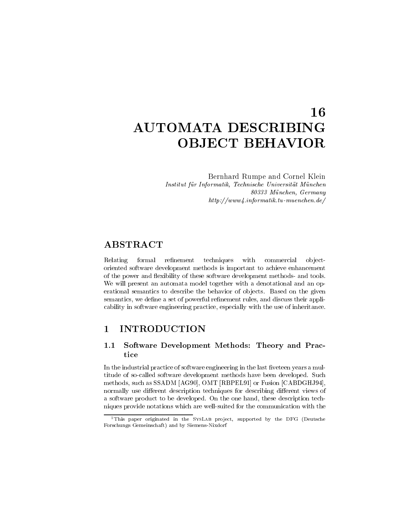# 16 AUTOMATA DESCRIBING **OBJECT BEHAVIOR**

Bernhard Rumpe and Cornel Klein ur Institut f-American f-American Universitet Universitet Universitet Universitet Universitet Universitet Univ M-unchen Germany httpwww informatik tumuenchen de

Relating formal refinement techniques with commercial objectoriented software development methods is important to achieve enhancement of the power and flexibility of these software development methods- and tools. We will present an automata model together with a denotational and an op erational semantics to describe the behavior of objects. Based on the given semantics we define a set of powerful rementions to make their and discuss the powerful cability in software engineering practice, especially with the use of inheritance.

#### INTRODUCTION  $\mathbf{1}$

### Software Development Methods: Theory and Prac- $1.1$ tice

In the industrial practice ofsoftware engineering in the last -veteen years a mul titude of so-called software development methods have been developed. Such methods such asSSADM AG OMT RBPEL or Fusion CABDGHJ normally use different description techniques for describing different views of a software product to be developed. On the one hand, these description techniques provide notations which are wellsuited for the communication with the



This paper originated in the SysLAB project, supported by the DFG (Deutsche Forschungs Gemeinschaft and by SiemensNixdorf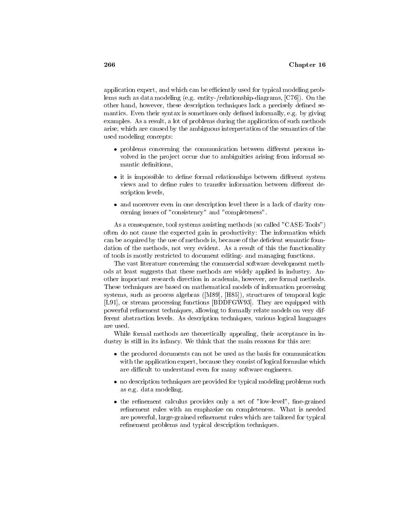application expert, and which can be efficiently used for typical modeling problems such as data modeling eg entityrelationshipdiagrams C On the other hand however these description techniques lack a precisely de-ned se mantics Even their syntax is sometimes only de-ned informally eg by giving examples. As a result, a lot of problems during the application of such methods arise, which are caused by the ambiguous interpretation of the semantics of the used modeling concepts

- $\bullet$  problems concerning the communication between different persons involved in the project occur due to ambiguities arising from informal semantic de-nitions
- $\bullet$  it is impossible to define formal relationships between different system  $\,$ scription levels
- $\bullet$  and moreover even in one description level there is a lack of clarity concerning issues of "consistency" and "completeness".

As a consequence, tool systems assisting methods (so called "CASE-Tools") often do not cause the expected gain in productivity: The information which can be acquired by the use of methods is because of the de-cient semantic foun dation of the methods, not very evident. As a result of this the functionality of tools is mostly restricted to document editing- and managing functions.

The vast literature concerning the commercial software development meth ods at least suggests that these methods are widely applied in industry An other important research direction in academia, however, are formal methods. These techniques are based on mathematical models of information processing systems such as process algebras Magnetic Matrix and as the structure of temporal logic L or stream processing functions BDDFGW They are equipped with powerful re-nement techniques allowing to formally relate models on very dif ferent abstraction levels. As description techniques, various logical languages are used

While formal methods are theoretically appealing, their acceptance in industry is still in its infancy. We think that the main reasons for this are:

- $\bullet$  the produced documents can not be used as the basis for communication  $\bullet$ with the application expert, because they consist of logical formulae which are difficult to understand even for many software engineers.
- $\bullet$  no description techniques are provided for typical modeling problems such as e.g. data modeling.
- $\bullet$  the rennement calculus provides only a set of low-level , fine-grained  $\bullet$ re-complete complete with an employment on complete the is need to need the complete  $\mathcal{L}_{\mathcal{A}}$ are powerful large grained re-rules which are tailored for the contract which are the process re-nement problems and typical description techniques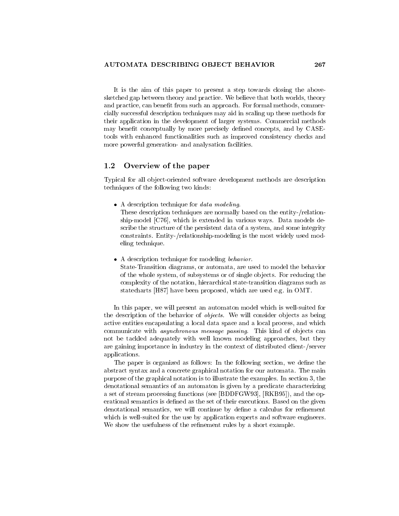It is the aim of this paper to present a step towards closing the above sketched gap between theory and practice. We believe that both worlds, theory and practice can bene-t from such an approach For formal methods commer cially successful description techniques may aid in scaling up these methods for their application in the development of larger systems Commercial methods may bene-t conceptually by more precisely de-ned concepts and by CASE tools with enhanced functionalities such as improved consistency checks and more powerful generation- and analysation facilities.

#### 1.2 Overview of the paper

Typical for all object-oriented software development methods are description techniques of the following two kinds

- $\bullet$  A description technique for *data modeling*.
	- These description techniques are normally based on the entity-/relationship model C (C) is extended in various ways Data models de later ways ways ways ways ways and scribe the structure of the persistent data of a system, and some integrity constraints. Entity-/relationship-modeling is the most widely used modeling technique
- $\bullet$  A description technique for modeling *behavior*.
	- State-Transition diagrams, or automata, are used to model the behavior of the whole system of subsystems or of single ob jects For reducing the complexity of the notation, hierarchical state-transition diagrams such as statecharts H have been proposed which are used eg in OMT

In this paper, we will present an automaton model which is well-suited for the description of the behavior of *objects*. We will consider objects as being active entities encapsulating a local data space and a local process and which communicate with *asynchronous message passing*. This kind of objects can not be tackled adequately with well known modeling approaches, but they are gaining importance in industry in the context of distributed client-/server applications

The paper is organized as follows In the following section we de-ne the abstract syntax and a concrete graphical notation for our automata The main purpose of the graphical notation is to illustrate the examples. In section  $3$ , the denotational semantics of an automaton is given by a predicate characterizing a set of stream processing functions see BDDFGW (FOOT) processing see BDFGW see BDDFGW (FOOT) and the option of erational semantics is de-ned as the set of their executions Based on the given denotational semantics we will continue by de-ne a calculus for re-nement which is well-suited for the use by application experts and software engineers. we show the show the show the show a showledge the showledge of the showledge of the showledge of the showledge of the showledge of the showledge of the showledge of the showledge of the showledge of the showledge of the s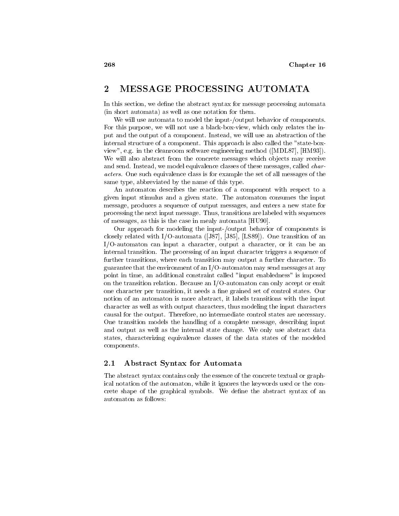#### $\overline{2}$ MESSAGE PROCESSING AUTOMATA

In this section we de-ne the abstract syntax for message processing automata  $(in short automata)$  as well as one notation for them.

We will use automata to model the input-/output behavior of components. For this purpose, we will not use a black-box-view, which only relates the input and the output of a component. Instead, we will use an abstraction of the internal structure of a component. This approach is also called the "state-boxview eg in the cleanroom software engineering method MDL HM We will also abstract from the concrete messages which objects may receive and send. Instead, we model equivalence classes of these messages, called *char*acters One such equivalence class is for example the set of all messages of the same type, abbreviated by the name of this type.

An automaton describes the reaction of a component with respect to a given input stimulus and a given state The automaton consumes the input message, produces a sequence of output messages, and enters a new state for processing the next input message. Thus, transitions are labeled with sequences of messages, as this is the case in mealy automata [HU90].

Our approach for modeling the input-/output behavior of components is closely related with IS and transition is the US of the ISO of an interesting of an interesting of an interest  $I/O$ -automaton can input a character, output a character, or it can be an internal transition. The processing of an input character triggers a sequence of further transitions, where each transition may output a further character. To guarantee that the environment of an  $I/O$ -automaton may send messages at any point in time, an additional constraint called "input enabledness" is imposed on the transition relation. Because an  $I/O$ -automaton can only accept or emit one character per transition it needs a -ne grained set of control states Our notion of an automaton is more abstract it labels transitions with the input character as well as with output characters thus modeling the input characters causal for the output. Therefore, no intermediate control states are necessary. One transition models the handling of a complete message, describing input and output as well as the internal state change. We only use abstract data states characterizing equivalence classes of the data states of the modeled components

#### $2.1\,$ Abstract Syntax for Automata

The abstract syntax contains only the essence of the concrete textual or graph ical notation of the automaton, while it ignores the keywords used or the concrete shape of the graphical symbols We deautomaton as follows: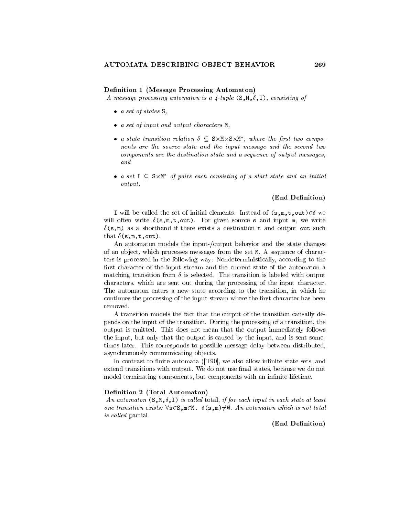### Definition 1 (Message Processing Automaton)

A message processing automaton is a tuple S-M--I consisting of

- $\bullet$  a set of states  $\circ$ ,
- a set of input and output characters M
- $\bullet$  a state transition relation  $o \subseteq s \times m \times s \times m$  , where the first two components are the source state and the input message and the second two components are the destination state and a sequence of output messages and
- $\bullet$  a set  $1\, \subset\,$   $\,$   $\triangleright$   $\times$  n of pairs each consisting of a start state and an initial output

### (End Definition)

 $\texttt{I}$  will be called the set of initial elements. Instead of  $\texttt{(s,m,t,out)}\texttt{=0}$  we will out that will often a selected in the model would be the state and the state of the state of the state of s-leader and a structure exists a destination of and output out and output of the such a destination of the such that see the set of the state of the state of the state of the state of the state of the state of the state of

An automaton models the input-/output behavior and the state changes of an ob ject which processes messages from the set M A sequence of charac ters is processed in the following way: Nondeterministically, according to the -rst character of the input stream and the current state of the automaton a matching transition from  $\delta$  is selected. The transition is labeled with output characters, which are sent out during the processing of the input character. The automaton enters a new state according to the transition, in which he continues the processing of the input stream where the -rst character has been removed.

A transition models the fact that the output of the transition causally de pends on the input of the transition. During the processing of a transition, the output is emitted. This does not mean that the output immediately follows the input, but only that the output is caused by the input, and is sent sometimes later. This corresponds to possible message delay between distributed, asynchronously communicating ob jects

In contrast to -nite automata T we also allow in-nite state sets and extend transitions with output We do not use -nal states because we do not model terminating components but components with an in-nite lifetime

### Definition 2 (Total Automaton)

an automaton s-grifting in each interest if for each input in each state at least one transition exists.  $v$  ses,  $m \in \mathbb{N}$ .  $v(s, m) \neq v$ . An automaton which is not total is called partial.

(End Definition)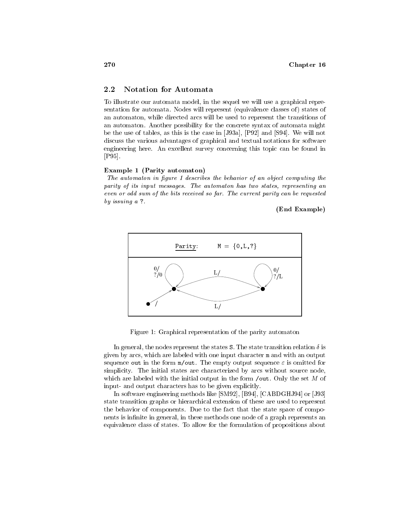#### 2.2 **Notation for Automata**

To illustrate our automata model, in the sequel we will use a graphical representation for automata. Nodes will represent (equivalence classes of) states of an automaton, while directed arcs will be used to represent the transitions of an automaton Another possibility for the concrete syntax of automata might be the use of tables as this is the case in Ja P and S We will not discuss the various advantages of graphical and textual notations for software engineering here. An excellent survey concerning this topic can be found in  $[P95]$ .

### Example 1 (Parity automaton)

The automaton in figure 1 describes the behavior of an object computing the parity of its input messages The automaton has two states representing an even or odd sum of the bits received so far The current parity can be requested by *issuing a* ?

End Example 



Figure 1: Graphical representation of the parity automaton

In general, the nodes represent the states S. The state transition relation  $\delta$  is given by arcs which are labeled with one input character <sup>m</sup> and with an output sequence **vav** in the form my vav. The empty supput sequence  $\sigma$  is omitted for simplicity. The initial states are characterized by arcs without source node, which are labeled with the initial output in the form  $\overline{\phantom{a}}$  out. Only the set M of input- and output characters has to be given explicitly.

In software engineering methods like SM B CABDGHJ or J state transition graphs or hierarchical extension of these are used to represent the behavior of components. Due to the fact that the state space of components is in-distributed in the second interest and of a graph represents and one of a graph representation of a equivalence class of states To allow for the formulation of propositions about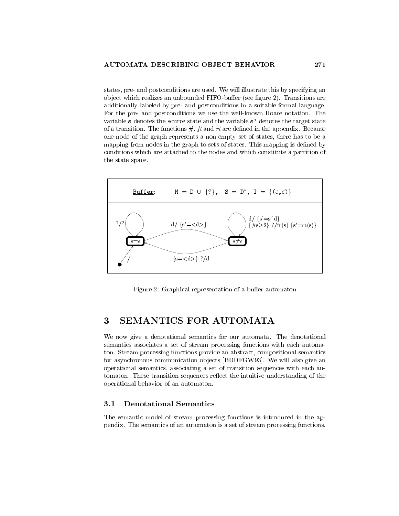states, pre- and postconditions are used. We will illustrate this by specifying an ob ject which realizes an unbounded FIFObu
er see -gure Transitions are additionally labeled by pre and postconditions in a suitable formal language For the pre- and postconditions we use the well-known Hoare notation. The variable s denotes the source state and the variable  $s'$  denotes the target state of a transition The functions ft and rt are de-ned in the appendix Because one node of the graph represents a non-empty set of states, there has to be a mapping from the sets of sets of states  $\mu$  , which the states the states This mapping is decreasing to the state of  $\mu$ conditions which are attached to the nodes and which constitute a partition of the state space



Figure 2: Graphical representation of a buffer automaton

# SEMANTICS FOR AUTOMATA

We now give a denotational semantics for our automata. The denotational semantics associates a set of stream processing functions with each automa ton. Stream processing functions provide an abstract, compositional semantics for asynchronous communication ob jects BDDFGW We will also give an operational semantics, associating a set of transition sequences with each automaton. These transition sequences reflect the intuitive understanding of the operational behavior of an automaton

The semantic model of stream processing functions is introduced in the ap pendix The semantics of an automaton is a set of stream processing functions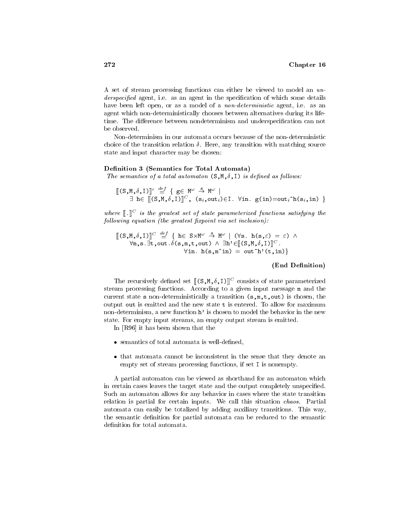A set of stream processing functions can either be viewed to model an un derspecies in the species in the species in the species in the species of which some details of which some details  $\alpha$ have been left open, or as a model of a *non-deterministic* agent, i.e. as an agent which non-deterministically chooses between alternatives during its lifetime The di
erence between nondeterminism and underspeci-cation can not be observed

Non-determinism in our automata occurs because of the non-deterministic choice of the transition relation  $\delta$ . Here, any transition with matching source state and input character may be chosen

### Definition 3 (Semantics for Total Automata)

The semantics of a total automaton S-M--I is dened as fol lows

$$
\begin{array}{lcl}\n[[(S, M, \delta, I)]]^c & \stackrel{def}{=} \{ g \in M^\omega \stackrel{s}{\to} M^\omega \mid \\
\exists \ h \in [[(S, M, \delta, I)]]^C, & (s_i, \text{out}_i) \in I. \ \forall \text{in. } g(\text{in}) = \text{out}_i \hat{\Lambda}(s_i, \text{in}) \ \}\n\end{array}
$$

where  $\|\cdot\|$  is the greatest set of state parameterized functions satisfying the  $\,$  $following\ equation\ (the\ greatest\ fixpoint\ via\ set\ inclusion).$ 

$$
\begin{array}{llll}\n\left[\n\left(S, M, \delta, I\right)\n\right]^{C} & \stackrel{def}{=} \left\{\n\begin{array}{l}\n\text{h} \in S \times M^{\omega} \stackrel{\delta}{\to} M^{\omega} \mid (\forall s. \text{ h}(s, \varepsilon) = \varepsilon) \land \\
\forall m, s. \exists t, \text{out.} \delta(s, m, t, \text{out}) \land \exists h' \in \n\left[\n\begin{array}{l}\n\left(S, M, \delta, I\right)\n\end{array}\n\right]^{C}.\n\end{array}\n\right.\n\end{array}
$$

### (End Definition)

I he recursively defined set  $\|\phi,\|,\sigma_1\|$  consists of state parameterized stream processing functions According to a given input message <sup>m</sup> and the current state s non userinimistically a transition (windows) to chosen the chos output out is emitted and the new state  $t$  is entered. To allow for maximum non-determinism, a new function h' is chosen to model the behavior in the new state. For empty input streams, an empty output stream is emitted.

it has been shown that the shown the theory of the shown of the shown of the shown of the same of the same of the same of the same of the same of the same of the same of the same of the same of the same of the same of the

- $\bullet\,$  semantics of total automata is well-defined,
- $\bullet$  that automata cannot be inconsistent in the sense that they denote an empty set of stream processing functions, if set I is nonempty.

A partial automaton can be viewed as shorthand for an automaton which in certain cases leaves the target state and the output completely unspeci-ed Such an automaton allows for any behavior in cases where the state transition relation is partial for certain inputs. We call this situation *chaos*. Partial automata can easily be totalized by adding auxiliary transitions This way the semantic de-nition for partial automata can be reduced to the semantic definition for total automata.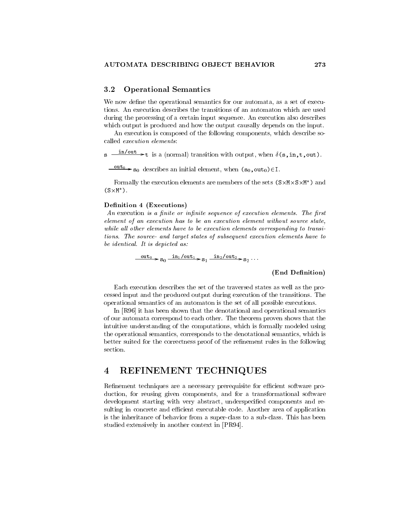#### Operational Semantics  $3.2$

We now de-ne the operational semantics for our automata as a set of execu tions An execution describes the transitions of an automaton which are used during the processing of a certain input sequence An execution also describes which output is produced and how the output causally depends on the input.

An execution is composed of the following components, which describe socalled *execution* elements:

 $\mathbf{s} \longrightarrow$  t is a (normal) transition with output, when  $\delta(\mathbf{s}, \mathbf{in}, \mathbf{t}, \mathbf{out})$ .

 $\frac{1}{1-\nu}$  s<sub>0</sub> describes an initial element, when  $(s_0, out_0) \in I$ .

Formally the execution elements are members of the sets  $(S \times M \times S \times M^*)$  and  $(S \times M^*)$ .

### Definition 4 (Executions)

 $\mathcal{A}$  and internal control in the control or internal control or internal control of execution elements of execution elements of execution elements of execution elements of execution elements of execution elements of e element of an execution has to be an execution element without source state while all other elements have to be execution elements corresponding to transitions The source and target states of subsequent execution elements have to be identical It is depicted as

$$
\frac{\text{out}_0}{\text{out}_0} \rightarrow \text{so} \quad \frac{\text{in}_1/\text{out}_1}{\text{out}_1} \rightarrow \text{so} \quad \frac{\text{in}_2/\text{out}_2}{\text{in}_2} \rightarrow \text{so} \quad \dots
$$

 $\sim$  0  $\sim$ 

## (End Definition)

Each execution describes the set of the traversed states as well as the pro cessed input and the produced output during execution of the transitions The operational semantics of an automaton is the set of all possible executions

In Research that the denotation is has been shown that the denotational semantics of the denotational semantic of our automata correspond to each other. The theorem proven shows that the intuitive understanding of the computations, which is formally modeled using the operational semantics, corresponds to the denotational semantics, which is better suited for the correctness proof of the re-nement rules in the following

#### REFINEMENT TECHNIQUES  $\overline{\mathbf{4}}$

Re-nement techniques are a necessary prerequisite for ecient software pro duction, for reusing given components, and for a transformational software development starting with very abstract underspeci-ed components and re sulting in concrete and efficient executable code. Another area of application is the inheritance of behavior from a super-class to a sub-class. This has been studied extensively in another context in PR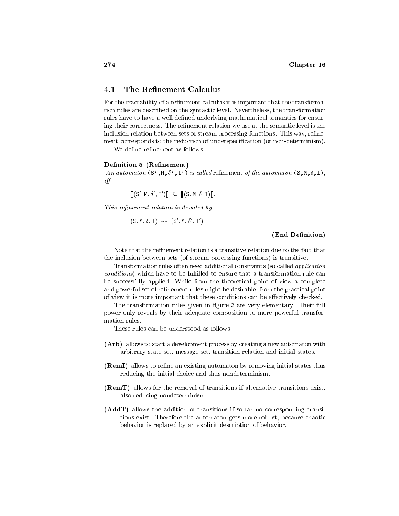#### The Refinement Calculus  $4.1$

For the tractability of a re-nement calculus it is important that the transforma tion rules are described on the syntactic level. Nevertheless, the transformation rules have to haveawell de-ned underlying mathematical semantics for ensur ing the re-time their correction we use at the semantic level is the semantic level is the semantic level is the semantic level is the semantic level is the semantic level is the semantic level is the semantic level is the inclusion relation between sets of stream processing functions This way re-ne ment corresponds to the reduction of underspeci-cation or nondeterminism

### Definition 5 (Refinement)

 $\mathcal{L}$  is a automator  $\mathcal{L}$  is a set to the automator of the automator  $\mathcal{L}$  is a set of  $\mathcal{L}$  $if f$ 

$$
[[S', M, \delta', I')] \subseteq [[(S, M, \delta, I)]].
$$

This refinement relation is denoted by

$$
(S, M, \delta, I) \rightsquigarrow (S', M, \delta', I')
$$

### (End Definition)

the inclusion between sets (of stream processing functions) is transitive.

Transformation rules often need additional constraints (so called *application* conditions which have to be ful-lled to ensure that a transformation rule can be successfully applied. While from the theoretical point of view a complete and powerful set of re-nement rules might be desirable from the practical point of view it is more important that these conditions can be effectively checked.

The transformation rules given in  $\mathcal{L}$  are very elementary Their full set  $\mathcal{L}$  full set  $\mathcal{L}$  full set  $\mathcal{L}$  full set  $\mathcal{L}$  full set  $\mathcal{L}$  full set  $\mathcal{L}$  full set  $\mathcal{L}$  full set  $\mathcal{L}$  full set power only reveals by their adequate composition to more powerful transfor mation rules

These rules can be understood as follows:

- (Arb) allows to start a development process by creating a new automaton with arbitrary state set, message set, transition relation and initial states.
- $\mathbf{r}$  and allows the anisotropic initial states the states three states through  $\mathbf{r}$ reducing the initial choice and thus nondeterminism
- **(RemT)** allows for the removal of transitions if alternative transitions exist, also reducing nondeterminism
- (AddT) allows the addition of transitions if so far no corresponding transitions exist. Therefore the automaton gets more robust, because chaotic behavior is replaced by an explicit description of behavior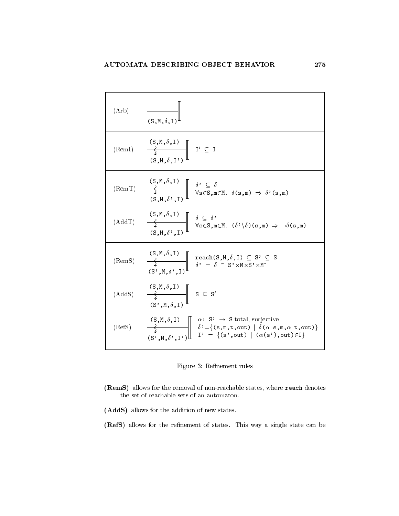(Arb)

\n
$$
\frac{\mathbf{S}, \mathbf{M}, \delta, \mathbf{I}}{\mathbf{S}, \mathbf{M}, \delta, \mathbf{I}}
$$
\n(Rem1)

\n
$$
\frac{\mathbf{S}, \mathbf{M}, \delta, \mathbf{I}}{\mathbf{S}, \mathbf{M}, \delta, \mathbf{I}}
$$
\n
$$
\frac{\mathbf{S}, \mathbf{M}, \delta, \mathbf{I}}{\mathbf{S}, \mathbf{M}, \delta', \mathbf{I}}
$$
\n
$$
\frac{\mathbf{S}, \mathbf{M}, \delta, \mathbf{I}}{\mathbf{S} \mathbf{S}, \mathbf{M}, \delta', \mathbf{I}}
$$
\n
$$
\frac{\mathbf{S}, \mathbf{M}, \delta, \mathbf{I}}{\mathbf{S} \mathbf{S}, \mathbf{M}, \delta', \mathbf{I}}
$$
\n
$$
\frac{\mathbf{S}, \mathbf{M}, \delta, \mathbf{I}}{\mathbf{S} \mathbf{S}, \mathbf{M}, \delta', \mathbf{I}}
$$
\n
$$
\frac{\mathbf{S}, \mathbf{M}, \delta, \mathbf{I}}{\mathbf{S} \mathbf{S}, \mathbf{M}, \delta', \mathbf{I}}
$$
\n
$$
\frac{\mathbf{S}, \mathbf{M}, \delta, \mathbf{I}}{\mathbf{S} \mathbf{S}, \mathbf{M}, \delta', \mathbf{I}}
$$
\n
$$
\frac{\mathbf{S}, \mathbf{M}, \delta, \mathbf{I}}{\mathbf{S} \mathbf{S} \mathbf{S}, \mathbf{M}} = \delta \mathbf{S} \mathbf{S} \mathbf{S}
$$
\n(RemS)

\n
$$
\frac{\mathbf{S}, \mathbf{M}, \delta, \mathbf{I}}{\mathbf{S}, \mathbf{M}, \delta', \mathbf{I}}
$$
\n
$$
\frac{\mathbf{S}, \mathbf{M}, \delta, \mathbf{I}}{\mathbf{S} \mathbf{S}, \mathbf{M}, \delta', \mathbf{I}}
$$
\n
$$
\frac{\mathbf{S}, \mathbf{M}, \delta, \mathbf{I}}{\mathbf{S} \mathbf{S}, \mathbf{M}, \delta, \mathbf{I}}
$$
\n(AddS)

\n
$$
\frac{\mathbf{S}, \mathbf{M}, \delta, \mathbf{I}}{\mathbf{S}, \mathbf{M}, \delta
$$



- (RemS) allows for the removal of non-reachable states, where reach denotes the set of reachable sets of an automaton
- (AddS) allows for the addition of new states.

refers a single state of states the states This way a single state can be a single state of  $\sim$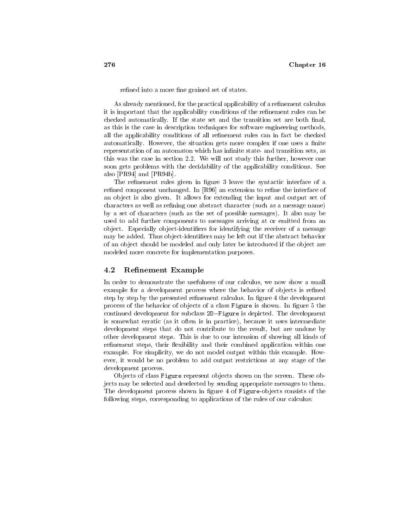re-ned into a more -ne grained set of states

As already mentioned for the practical applicability of a re-nement calculus it is important that the applicability conditions of the re-nement rules can be checked automatically If the state set and the transition set are both -nal as this is the case in description techniques for software engineering methods all the applications of all re-discovers of all re-discovers of all rules can in fact be checked to a automatically However the situation gets more complex if one uses a -nite representation of an automaton which has in-nite state and transition sets as this was the case in section  $2.2$ . We will not study this further, however one soon gets problems with the decidability of the applicability conditions See also Provincial and Provincial and Provincial and Provincial and Provincial and Provincial and Provincial and

the re-contractic rules given in - guest the synthetic interface interface of an re-component unchanged In Re-component in Re-component in the interface of the interface of an object is also given. It allows for extending the input and output set of characters as well as re-ning one abstract character such as a message name by a set of characters (such as the set of possible messages). It also may be used to add further components to messages arriving at or emitted from an ob ject Especially ob jectidenti-ers for identifying the receiver of a message may be added Thus ob jectidenti-ers may be left out if the abstract behavior of an ob ject should be modeled and only later be introduced if the ob ject are modeled more concrete for implementation purposes

#### $4.2$ Refinement Example

In order to demonstrate the usefulness of our calculus, we now show a small example for a development process where the behavior of ob jects is re-ned step by step by the presented re-nement calculus In -gure  the development process of the behavior of ob jects of a class Figure is shown In -gure the continued development for subclass 2D-Figure is depicted. The development is somewhat erratic (as it often is in practice), because it uses intermediate development steps that do not contribute to the result, but are undone by other development steps. This is due to our intension of showing all kinds of re-nement steps their exibility and their combined application within one example. For simplicity, we do not model output within this example. However, it would be no problem to add output restrictions at any stage of the development process

Objects of class Figure represent objects shown on the screen. These objects may be selected and deselected by sending appropriate messages to them The development process shown in -gure  of Figureob jects consists of the following steps, corresponding to applications of the rules of our calculus: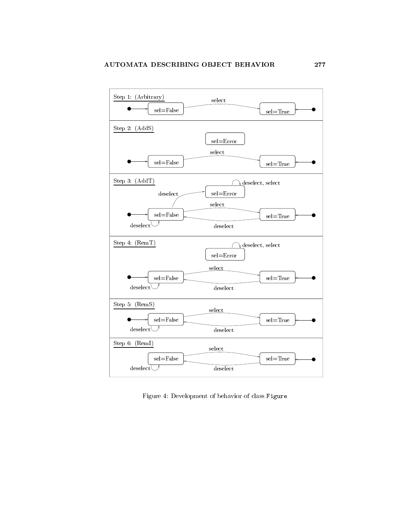

Figure 4: Development of behavior of class Figure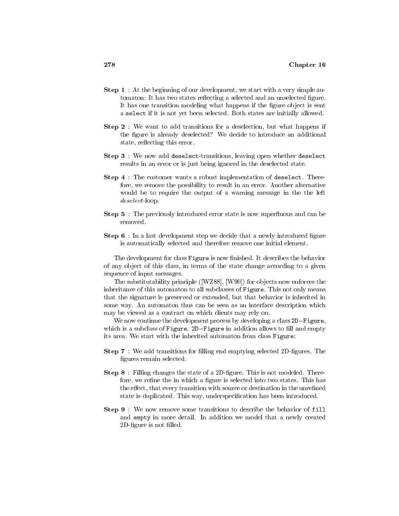- **Step 1** : At the beginning of our development, we start with a very simple au- $\mathbf{h}$  is two states reection is two states reection and and and and an unselected and an unselected  $\mathbf{h}$ It has one transition modeling what happens if the -gure ob ject is sent a select if it is not yet been selected. Both states are initially allowed.
- **Step 2**: We want to add transitions for a deselection, but what happens if the -gure is already deselected We decide to introduce an additional state, reflecting this error.
- **Step 3** : We now add deselect-transitions, leaving open whether deselect results in an error or is just being ignored in the deselected state
- **Step 4** : The customer wants a robust implementation of deselect. Therefore, we remove the possibility to result in an error. Another alternative would be to require the output of a warning message in the the left  $deselect-loop.$
- Step 5: The previously introduced error state is now superfluous and can be removed
- step that development step we decide that a newly interesting interesting that a newly interesting of the co is automatically selected and therefore remove one initial element

The development for class Figure is now -nished It describes the behavior of any ob ject of this class in terms of the state change according to a given sequence of input messages

The substitutability principle WZ W for ob jects now enforces the inheritance of this automaton to all subclasses of Figure. This not only means that the signature is preserved or extended, but that behavior is inherited in some way. An automaton thus can be seen as an interface description which may be viewed as a contract on which clients may rely on

We now continue the development process by developing a class  $2D-Figure$ , which is a subclass of Figure.  $2D$ -Figure in addition allows to fill and empty its area. We start with the inherited automaton from class Figure:

- Step We add transitions for -lling end emptying selected D-gures The -gures remain selected
- Step Filling changes the state of a D-gure This is not modeled There fore we re-ne the in which a -gure is selected into two states This has the e
ect that every transition with source or destination in the unre-ned state is duplicated This way underspeci-cation has been introduced
- **Step 9**: We now remove some transitions to describe the behavior of fill and empty in more detail In addition we model that a newly created D-gure is not -lled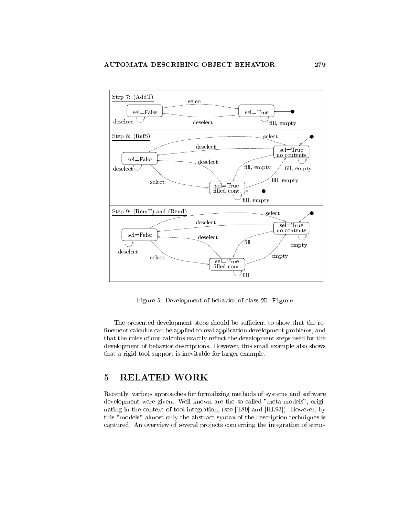

Figure 5: Development of behavior of class 2D-Figure

The presented development steps should be sufficient to show that the re--nement calculus can be applied to real application development problems and that the rules of our calculus exactly reflect the development steps used for the development of behavior descriptions. However, this small example also shows that a rigid tool support is inevitable for larger example

#### $\overline{5}$ RELATED WORK

Recently, various approaches for formalizing methods of systems and software development were given. Well known are the so-called "meta-models", originational integration in the context of the context  $\mathcal{A}$  is the HL integration see The Lie and HL is the context of the context of the context of the context of the context of the context of the context of the context o this "models" almost only the abstract syntax of the description techniques is captured. An overview of several projects concerning the integration of struc-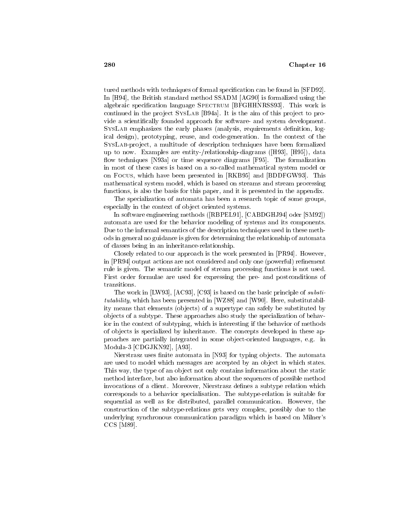tured methods with techniques of formal specification cation can be found in SFD and  $\sim$ In the British standard method  $\mathbf{R}$  and  $\mathbf{R}$  again again the British standard method  $\mathbf{R}$ algebraic specific specific specific specific specific specific specific specific specific specific specific s continued in the project Systems produce the aim of the aim of the project to pro vide a scienti-cally founded approach for software and system development SysLab emphasizes the early phases analysis requirements de-nition log ical design), prototyping, reuse, and code-generation. In the context of the SYSLAB-project, a multitude of description techniques have been formalized up to now Examples are entity processing analysis and process the process  $\mathcal{L}_{\mathcal{A}}$ own techniques preseque and formalization for the formalization of the formalization of the formalization of the formalization of the formalization of the formalization of the formalization of the formalization of the form in most of these cases is based on a so-called mathematical system model or on Focus which have been presented in RKB (a) which presented in RC (  $\sim$   $\sim$   $\sim$   $\sim$   $\sim$ mathematical system model, which is based on streams and stream processing functions, is also the basis for this paper, and it is presented in the appendix.

The specialization of automata has been a research topic of some groups especially in the context of object oriented systems.

In software engineering methods RBPEL in the SMS and RBPEL in the SMS and RBPEL in the SMS and RBPEL in the SM automata are used for the behavior modeling of systems and its components Due to the informal semantics of the description techniques used in these meth ods in general no guidance is given for determining the relationship of automata of classes being in an inheritance-relationship.

Closely related to our approach is the work presented in PR However in process are not considered and one considered and one powerful re-  $\eta$  and  $\eta$  re-  $\eta$  re-  $\eta$  re-  $\eta$ rule is given. The semantic model of stream processing functions is not used. First order formulae are used for expressing the pre and postconditions of transitions

The work in LW is basic principle of substitution of the basic principle of substitution of the basic principle of the basic principle of the basic principle of the basic principle of the basic principle of the basic princ tutability which has been presented in WZ and WZ and WZ and WZ and WZ and WZ and WZ and WZ and WZ and WZ and W ity means that elements (objects) of a supertype can safely be substituted by ob jects of a subtype These approaches also study the specialization of behav ior in the context of subtyping, which is interesting if the behavior of methods of ob jects is specialized by inheritance The concepts developed in these ap proaches are partially integrated in some object-oriented languages, e.g. in modula CDG CDG And CDG CDG CDG CDG

nierstrasz uses strasz utomata in Nierstrasz politik, automata in jerenye ob jects The Automatics Theorem and are used to model which messages are accepted by an object in which states. This way, the type of an object not only contains information about the static method interface, but also information about the sequences of possible method invocations of a client Moreover Nierstrasz de-nes a subtype relation which corresponds to a behavior specialisation The subtyperelation is suitable for sequential as well as for distributed, parallel communication. However, the construction of the subtyperelations gets very complex possibly due to the underlying synchronous communication paradigm which is based on Milner's  $C$   $C$   $C$   $C$   $C$   $C$   $C$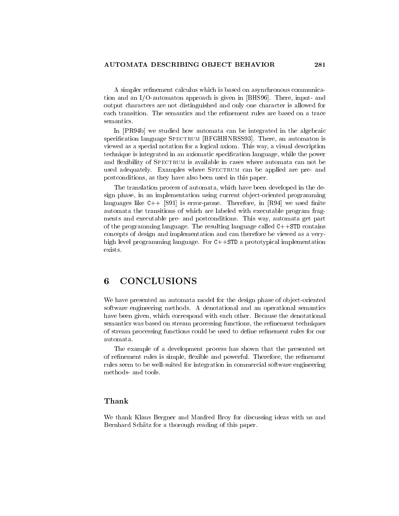A simpler re-nement calculus which is based on asynchronous communica tion and an IOautomaton approach is given in BHS There input and output characters are not distinguished and only one character is allowed for semantics

In Press, the integrated in the algebraic can be integrated in the algebraic can be integrated in the algebraic can be in special language Special language Special language Special language Special language Special language Special la viewed as a special notation for a logical axiom. This way, a visual description technique is integrated in an axiomatic speci-cation language while the power and flexibility of SPECTRUM is available in cases where automata can not be used adequately. Examples where SPECTRUM can be applied are pre- and postconditions, as they have also been used in this paper.

The translation process of automata which have been developed in the de sign phase, in an implementation using current object-oriented programming  $\mathcal{L}_{\text{c}}$  and  $\mathcal{L}_{\text{c}}$  is error present interacted in February and  $\mathcal{L}_{\text{c}}$ automata the transitions of which are labeled with executable program frag ments and executable pre- and postconditions. This way, automata get part of the programming language. The resulting language called  $C++STD$  contains concepts of design and implementation and can therefore be viewed as a very high level programming language. For  $C++STD$  a prototypical implementation exists

We have presented an automata model for the design phase of object-oriented software engineering methods. A denotational and an operational semantics have been given, which correspond with each other. Because the denotational semantics was based on stream processing functions the re-nement techniques of stream processing functions could be used to de-ne re-nement rules for our automata.

The example of a development process has shown that the presented set of re-existence rules is simple; and powerful Therefore the re-existence the re-existence the rerules seem to be well-suited for integration in commercial software engineering methods- and tools.

We thank Klaus Bergner and Manfred Broy for discussing ideas with us and Bernhard Schätz for a thorough reading of this paper.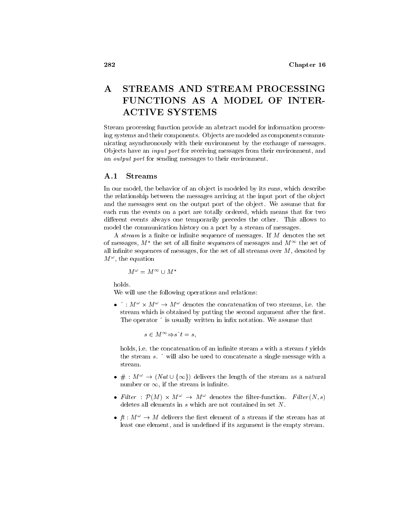# STREAMS AND STREAM PROCESSING  $\mathbf{A}$ FUNCTIONS AS A MODEL OF INTER-**ACTIVE SYSTEMS**

Stream processing function provide an abstract model for information process ing systems and their components Ob jects are modeled as components commu nicating asynchronously with their environment by the exchange of messages Objects have an *input port* for receiving messages from their environment, and an *output port* for sending messages to their environment.

#### $\mathbf{A.1}$ Streams

In our model, the behavior of an object is modeled by its runs, which describe the relationship between the messages arriving at the input port of the ob ject and the messages sent on the output port of the object. We assume that for each run the events on a port are totally ordered, which means that for two different events always one temporarily precedes the other. This allows to model the communication history on a port by a stream of messages

A stream is a -nite or in-nite sequence of messages If <sup>M</sup> denotes the set of messages,  $M$  -the set of all finite sequences of messages and  $M$  the set of all interests of all in-the set of the set of all streams over M denoted by the set of all streams of all streams of  $M^{\pm}$ , the equation

$$
M^{\,\omega}=M^{\,\infty}\cup M^{\,\ast}
$$

We will use the following operations and relations

 $\bullet$  :  $M^+ \times M^- \rightarrow M^-$  denotes the concatenation of two streams, i.e. the stream which is obtained by putting the second anglometric the contract the second The operator is usually written in in-x notation We assume that

 $s \in M^{\infty} \Rightarrow s^{\wedge} t = s,$ 

holds ie the concatenation of an in-nite stream <sup>s</sup> with a stream <sup>t</sup> yields the stream  $s$ .  $\hat{ }$  will also be used to concatenate a single message with a the stream.<br>stream.<br> $\bullet \# : M^{\omega} \to (Nat \cup \{\infty\})$  delivers the length of the stream as a natural

- number or  $\infty$ , if the stream is infinite.
- Futer :  $P(M) \times M^+ \rightarrow M^-$  denotes the niter-function. Futer  $(N, s)$ deletes all elements in  $s$  which are not contained in set  $N$ .
- $\bullet$   $\mu$  :  $\mu$   $\rightarrow$   $\mu$  denvers the first element of a stream if the stream has at least one element and is unde-ned if its argument is the empty stream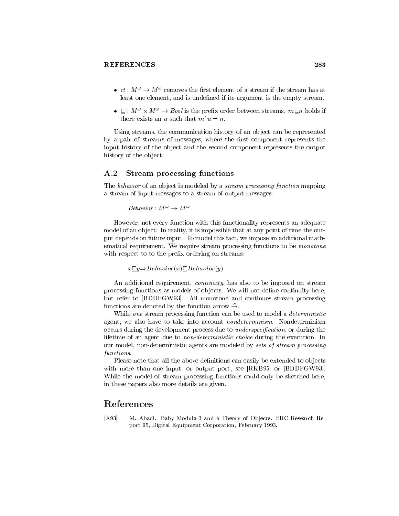- $\bullet$   $\tau \iota : M^- \to M^-$  removes the first element of a stream if the stream has at least one element and is unde-ned if its argument is the empty stream
- $\bullet$   $\sqsubseteq$  :  $M^+ \times M^+ \rightarrow$  *Bool* is the prefix order between streams.  $m\square n$  holds if there exists an u such that  $m^{\hat{}}u = n$ .<br>Using streams, the communication history of an object can be represented

by a pair of streams of messages where the -rst component represents the input history of the object and the second component represents the output history of the object.

#### $A.2$ Stream processing functions

The *behavior* of an object is modeled by a *stream processing function* mapping a stream of input messages to a stream of output messages

$$
Behavior : M^{\omega} \rightarrow M^{\omega}
$$

However, not every function with this functionality represents an adequate model of an object: In reality, it is impossible that at any point of time the output depends on future input. To model this fact, we impose an additional mathematical requirement. We require stream processing functions to be *monotone* with respect to the pre-transfer to the pre-transfer to the pre-transfer to the pre-

 $x \square y \Rightarrow \text{Behavior}(x) \square \text{Behavior}(y)$ 

An additional requirement, *continuity*, has also to be imposed on stream processing functions as models of ob jects We will not de-ne continuity here and refers to BDDFGW (1991). They continues show the continues stream processing the continues of the continues functions are denoted by the function arrow  $\stackrel{s}{\rightarrow}$ .

While *one* stream processing function can be used to model a *deterministic* agent, we also have to take into account *nondeterminism*. Nondeterminism occurs during the development process due to *underspecification*, or during the lifetime of an agent due to *non-deterministic choice* during the execution. In our model, non-deterministic agents are modeled by *sets of stream processing* functions

Please note that all the above de-nitions can easily be extended to ob jects with more than one input or a set  $\mathbb{R}^n$  . The sees RMS see RKB see RKB see RKB see RKB see RKB see RKB see While the model of stream processing functions could only be sketched here, in these papers also more details are given

# References

[A93] M. Abadi. Baby Modula-3 and a Theory of Objects. SRC Research Report 95, Digital Equipment Corporation, February 1993.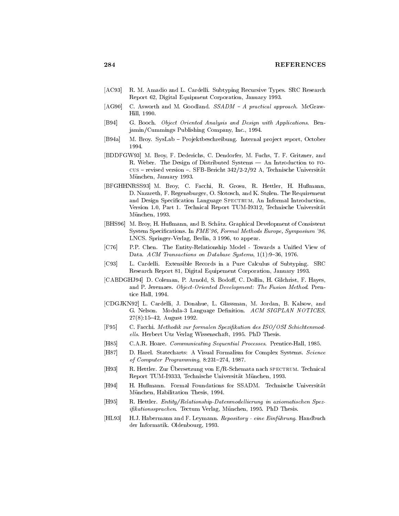- [AC93] R. M. Amadio and L. Cardelli. Subtyping Recursive Types. SRC Research Report 62, Digital Equipment Corporation, January 1993.
- agregate and M Goodland States and Magnetical approach Magnetical approach McGraw States and States and States and McGraw States and States and States and States and States and States and States and States and States a Hill, 1990.
- [B94] G. Booch. Object Oriented Analysis and Design with Applications. Benjamin-Cummings Publishing Company Inc
- [B94a] M. Broy. SysLab Projektbeschreibung. Internal project report, October 1994.
- [BDDFGW93] M. Broy, F. Dederichs, C. Dendorfer, M. Fuchs, T. F. Gritzner, and R. Weber. The Design of Distributed Systems — An Introduction to Focus revised version SFBBericht 
-- A Technische Universitat München, January 1993.
- [BFGHHNRSS93] M. Broy, C. Facchi, R. Grosu, R. Hettler, H. Hußmann, D. Nazareth, F. Regensburger, O. Slotosch, and K. Stølen. The Requirement and Design Specification Language SPECTRUM, An Informal Introduction, Version 1.0, Part 1. Technical Report TUM-I9312, Technische Universität München, 1993.
- [BHS96] M. Broy, H. Hußmann, and B. Schätz. Graphical Development of Consistent System Specifications. In FME '96, Formal Methods Europe, Symposium '96, LNCS. Springer-Verlag, Berlin, 3 1996, to appear.
- [C76] P.P. Chen. The Entity-Relationship Model Towards a Unified View of Data. ACM Transactions on Database Systems,  $1(1):9-36$ , 1976.
- C L Cardelli Extensible Records in a Pure Calculus of Subtyping SRC Research Report 81, Digital Equipement Corporation, January 1993.
- [CABDGHJ94] D. Coleman, P. Arnold, S. Bodoff, C. Dollin, H. Gilchrist, F. Hayes, and P. Jeremaes. Object Oriented Development: The Fusion Method. Prentice Hall, 1994.
- [CDGJKN92] L. Cardelli, J. Donahue, L. Glassman, M. Jordan, B. Kalsow, and G. Nelson. Modula-3 Language Definition. ACM SIGPLAN NOTICES.  $27(8):15-42$ , August 1992.
- F C Facchi Methodik zur formalen Spezi kation des ISO OSI Schichtenmod ells. Herbert Utz Verlag Wissenschaft, 1995. PhD Thesis.
- [H85] C.A.R. Hoare. *Communicating Sequential Processes*. Prentice-Hall, 1985.
- [H87] D. Harel. Statecharts: A Visual Formalism for Complex Systems. Science of Computer Programming, 8:231-274, 1987.
- $\left| \text{H} \right|$  and  $\left| \text{H} \right|$  are  $\left| \text{H} \right|$  and  $\left| \text{H} \right|$  are  $\left| \text{H} \right|$  and  $\left| \text{H} \right|$  and  $\left| \text{H} \right|$  and  $\left| \text{H} \right|$  are  $\left| \text{H} \right|$  and  $\left| \text{H} \right|$  and  $\left| \text{H} \right|$  and  $\left| \text{H} \right|$  and  $\left| \$ Report TUM-19333, Technische Universität München, 1993.
- [H94] H. Hußmann. Formal Foundations for SSADM. Technische Universität München, Habilitation Thesis, 1994.
- H R Hettler Entity RelationshipDatenmodel lierung in axiomatischen Spez ifikationssprachen. Tectum Verlag, München, 1995. PhD Thesis.
- [HL93] H.J. Habermann and F. Leymann. Repository eine Einführung. Handbuch der Informatik. Oldenbourg, 1993.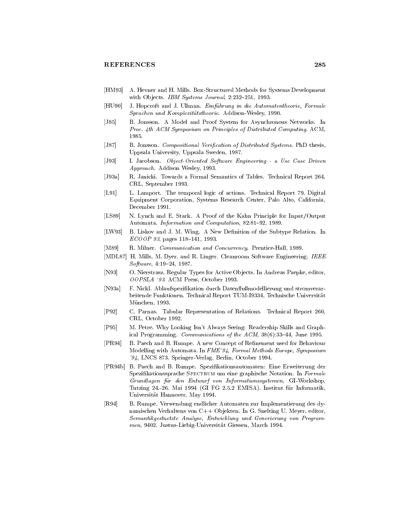- [HM93] A. Hevner and H. Mills. Box-Structured Methods for Systems Development with Objects. IBM Systems Journal, 2:232-251, 1993.
- [HU90] J. Hopcroft and J. Ullman. Einführung in die Automatentheorie, Formale Sprachen und Komplexitätstheorie. Addison-Wesley, 1990.
- [J85] B. Jonsson. A Model and Proof System for Asynchronous Networks. In Proc. 4th ACM Symposium on Principles of Distributed Computing. ACM, 1985.
- [J87] B. Jonsson. Compositional Verification of Distributed Systems. PhD thesis, Uppsala University, Uppsala Sweden, 1987.
- [J93] I. Jacobson. Object Oriented Software Engineering a Use Case Driven Approach. Addison Wesley, 1993.
- [J93a] R. Janicki. Towards a Formal Semantics of Tables. Technical Report 264, CRL, September 1993.
- [L91] L. Lamport. The temporal logic of actions. Technical Report 79, Digital Equipment Corporation, Systems Research Center, Palo Alto, California, December 1991.
- LS N Lynch and E Stark A Proof of the Kahn Principle for Input-Output Automata. Information and Computation, 82:81-92, 1989.
- [LW93] B. Liskov and J. M. Wing. A New Definition of the Subtype Relation. In ECOOP 93, pages 118-141, 1993.
- [M89] R. Milner. *Communication and Concurrency*. Prentice-Hall, 1989.
- [MDL87] H. Mills, M. Dyer, and R. Linger. Cleanroom Software Engineering. IEEE  $Software, 4:19-24, 1987.$
- [N93] O. Nierstrasz. Regular Types for Active Objects. In Andreas Paepke, editor, OOPSLA '93. ACM Press, October 1993.
- [N93a] F. Nickl. Ablaufspezifikation durch Datenflußmodellierung und stromverarbeitende Funktionen. Technical Report TUM-I9334, Technische Universität München, 1993.
- [P92] C. Parnas. Tabular Representation of Relations. Technical Report 260, CRL, October 1992.
- [P95] M. Petre. Why Looking Isn't Always Seeing: Readership Skills and Graphical Programming. Communications of the  $ACM$ ,  $38(6)$ : 33-44, June 1995.
- [PR94] B. Paech and B. Rumpe. A new Concept of Refinement used for Behaviour Modelling with Automata. In FME'94, Formal Methods Europe, Symposium  $94$ , LNCS 873. Springer-Verlag, Berlin, October 1994.
- [PR94b] B. Paech and B. Rumpe. Spezifikationsautomaten: Eine Erweiterung der Spezifikationssprache SPECTRUM um eine graphische Notation. In Formale Grundlagen für den Entwurf von Informationssystemen, GI-Workshop, Tutzing 24.-26. Mai 1994 (GI FG 2.5.2 EMISA). Institut für Informatik, Universität Hannover, May 1994.
- [R94] B. Rumpe. Verwendung endlicher Automaten zur Implementierung des dynamischen Verhaltens von C++ Objekten. In G. Snelting U. Meyer, editor, Semantikgestuetzte Analyse, Entwicklung und Generierung von Programmen, 9402. Justus-Liebig-Universität Giessen, March 1994.